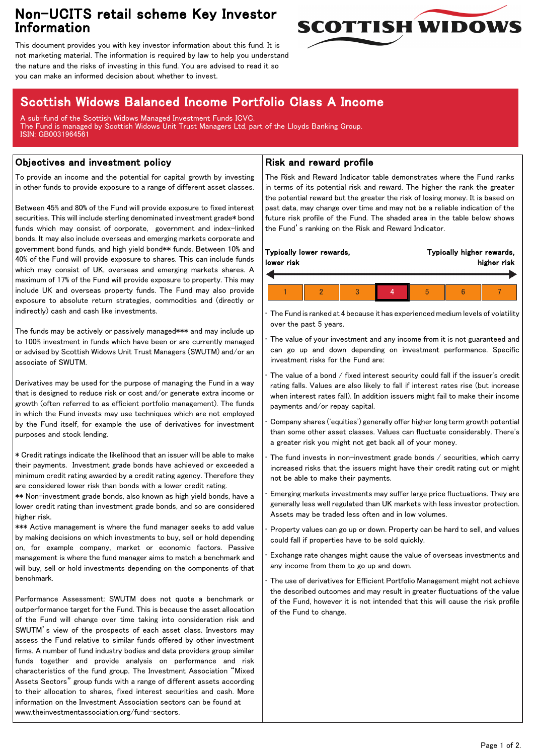## Non-UCITS retail scheme Key Investor Information



This document provides you with key investor information about this fund. It is not marketing material. The information is required by law to help you understand the nature and the risks of investing in this fund. You are advised to read it so you can make an informed decision about whether to invest.

# Scottish Widows Balanced Income Portfolio Class A Income

A sub-fund of the Scottish Widows Managed Investment Funds ICVC. The Fund is managed by Scottish Widows Unit Trust Managers Ltd, part of the Lloyds Banking Group. ISIN: GB0031964561

### Objectives and investment policy

To provide an income and the potential for capital growth by investing in other funds to provide exposure to a range of different asset classes.

Between 45% and 80% of the Fund will provide exposure to fixed interest securities. This will include sterling denominated investment grade\* bond funds which may consist of corporate, government and index-linked bonds. It may also include overseas and emerging markets corporate and government bond funds, and high yield bond\*\* funds. Between 10% and 40% of the Fund will provide exposure to shares. This can include funds which may consist of UK, overseas and emerging markets shares. A maximum of 17% of the Fund will provide exposure to property. This may include UK and overseas property funds. The Fund may also provide exposure to absolute return strategies, commodities and (directly or indirectly) cash and cash like investments.

The funds may be actively or passively managed\*\*\* and may include up to 100% investment in funds which have been or are currently managed or advised by Scottish Widows Unit Trust Managers (SWUTM) and/or an associate of SWUTM.

Derivatives may be used for the purpose of managing the Fund in a way that is designed to reduce risk or cost and/or generate extra income or growth (often referred to as efficient portfolio management). The funds in which the Fund invests may use techniques which are not employed by the Fund itself, for example the use of derivatives for investment purposes and stock lending.

\* Credit ratings indicate the likelihood that an issuer will be able to make their payments. Investment grade bonds have achieved or exceeded a minimum credit rating awarded by a credit rating agency. Therefore they are considered lower risk than bonds with a lower credit rating.

\*\* Non-investment grade bonds, also known as high yield bonds, have a lower credit rating than investment grade bonds, and so are considered higher risk.

\*\*\* Active management is where the fund manager seeks to add value by making decisions on which investments to buy, sell or hold depending on, for example company, market or economic factors. Passive management is where the fund manager aims to match a benchmark and will buy, sell or hold investments depending on the components of that benchmark.

Performance Assessment: SWUTM does not quote a benchmark or outperformance target for the Fund. This is because the asset allocation of the Fund will change over time taking into consideration risk and SWUTM's view of the prospects of each asset class. Investors may assess the Fund relative to similar funds offered by other investment firms. A number of fund industry bodies and data providers group similar funds together and provide analysis on performance and risk characteristics of the fund group. The Investment Association "Mixed Assets Sectors" group funds with a range of different assets according to their allocation to shares, fixed interest securities and cash. More information on the Investment Association sectors can be found at www.theinvestmentassociation.org/fund-sectors.

#### Risk and reward profile

The Risk and Reward Indicator table demonstrates where the Fund ranks in terms of its potential risk and reward. The higher the rank the greater the potential reward but the greater the risk of losing money. It is based on past data, may change over time and may not be a reliable indication of the future risk profile of the Fund. The shaded area in the table below shows the Fund's ranking on the Risk and Reward Indicator.

| lower risk | Typically lower rewards, |  | Typically higher rewards,<br>higher risk |  |  |
|------------|--------------------------|--|------------------------------------------|--|--|
|            |                          |  |                                          |  |  |
|            |                          |  |                                          |  |  |

• The Fund is ranked at 4 because it has experienced medium levels of volatility over the past 5 years.

The value of your investment and any income from it is not guaranteed and can go up and down depending on investment performance. Specific investment risks for the Fund are:

• The value of a bond / fixed interest security could fall if the issuer's credit rating falls. Values are also likely to fall if interest rates rise (but increase when interest rates fall). In addition issuers might fail to make their income payments and/or repay capital.

• Company shares ('equities') generally offer higher long term growth potential than some other asset classes. Values can fluctuate considerably. There's a greater risk you might not get back all of your money.

The fund invests in non-investment grade bonds  $/$  securities, which carry increased risks that the issuers might have their credit rating cut or might not be able to make their payments.

• Emerging markets investments may suffer large price fluctuations. They are generally less well regulated than UK markets with less investor protection. Assets may be traded less often and in low volumes.

• Property values can go up or down. Property can be hard to sell, and values could fall if properties have to be sold quickly.

• Exchange rate changes might cause the value of overseas investments and any income from them to go up and down.

The use of derivatives for Efficient Portfolio Management might not achieve the described outcomes and may result in greater fluctuations of the value of the Fund, however it is not intended that this will cause the risk profile of the Fund to change.